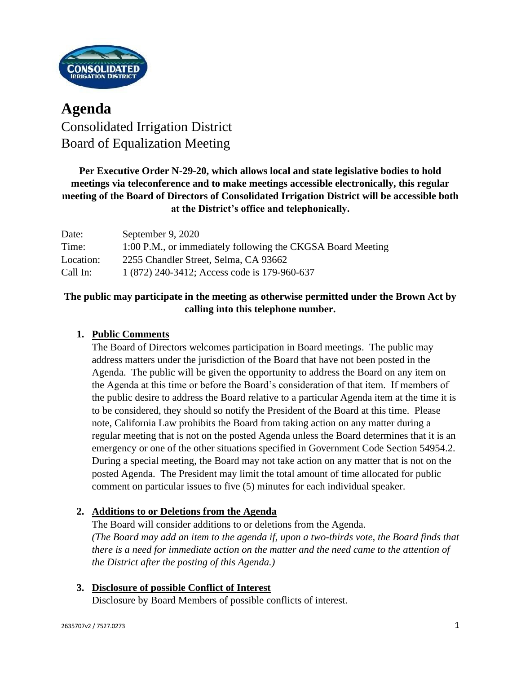

# **Agenda** Consolidated Irrigation District Board of Equalization Meeting

# **Per Executive Order N-29-20, which allows local and state legislative bodies to hold meetings via teleconference and to make meetings accessible electronically, this regular meeting of the Board of Directors of Consolidated Irrigation District will be accessible both at the District's office and telephonically.**

| Date:     | September 9, 2020                                           |
|-----------|-------------------------------------------------------------|
| Time:     | 1:00 P.M., or immediately following the CKGSA Board Meeting |
| Location: | 2255 Chandler Street, Selma, CA 93662                       |
| Call In:  | 1 (872) 240-3412; Access code is 179-960-637                |

# **The public may participate in the meeting as otherwise permitted under the Brown Act by calling into this telephone number.**

# **1. Public Comments**

The Board of Directors welcomes participation in Board meetings. The public may address matters under the jurisdiction of the Board that have not been posted in the Agenda. The public will be given the opportunity to address the Board on any item on the Agenda at this time or before the Board's consideration of that item. If members of the public desire to address the Board relative to a particular Agenda item at the time it is to be considered, they should so notify the President of the Board at this time. Please note, California Law prohibits the Board from taking action on any matter during a regular meeting that is not on the posted Agenda unless the Board determines that it is an emergency or one of the other situations specified in Government Code Section 54954.2. During a special meeting, the Board may not take action on any matter that is not on the posted Agenda. The President may limit the total amount of time allocated for public comment on particular issues to five (5) minutes for each individual speaker.

## **2. Additions to or Deletions from the Agenda**

The Board will consider additions to or deletions from the Agenda. *(The Board may add an item to the agenda if, upon a two-thirds vote, the Board finds that there is a need for immediate action on the matter and the need came to the attention of the District after the posting of this Agenda.)*

### **3. Disclosure of possible Conflict of Interest** Disclosure by Board Members of possible conflicts of interest.